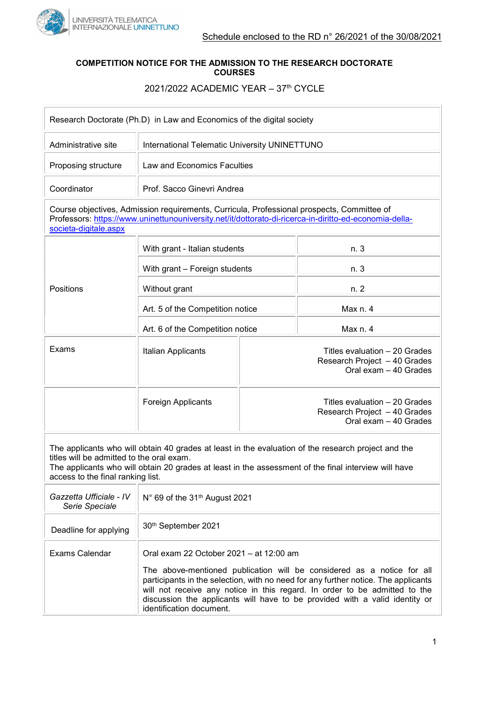

## COMPETITION NOTICE FOR THE ADMISSION TO THE RESEARCH DOCTORATE COURSES

## 2021/2022 ACADEMIC YEAR - 37<sup>th</sup> CYCLE

| Research Doctorate (Ph.D) in Law and Economics of the digital society                                                                                                                                                         |                                                                                                     |                                                                                        |
|-------------------------------------------------------------------------------------------------------------------------------------------------------------------------------------------------------------------------------|-----------------------------------------------------------------------------------------------------|----------------------------------------------------------------------------------------|
| Administrative site                                                                                                                                                                                                           | International Telematic University UNINETTUNO                                                       |                                                                                        |
| Proposing structure                                                                                                                                                                                                           | Law and Economics Faculties                                                                         |                                                                                        |
| Coordinator                                                                                                                                                                                                                   | Prof. Sacco Ginevri Andrea                                                                          |                                                                                        |
| Course objectives, Admission requirements, Curricula, Professional prospects, Committee of<br>Professors: https://www.uninettunouniversity.net/it/dottorato-di-ricerca-in-diritto-ed-economia-della-<br>societa-digitale.aspx |                                                                                                     |                                                                                        |
| Positions                                                                                                                                                                                                                     | With grant - Italian students                                                                       | n. 3                                                                                   |
|                                                                                                                                                                                                                               | With grant - Foreign students                                                                       | n. 3                                                                                   |
|                                                                                                                                                                                                                               | Without grant                                                                                       | n. 2                                                                                   |
|                                                                                                                                                                                                                               | Art. 5 of the Competition notice                                                                    | Max n. 4                                                                               |
|                                                                                                                                                                                                                               | Art. 6 of the Competition notice                                                                    | Max n. 4                                                                               |
| Exams                                                                                                                                                                                                                         | Italian Applicants                                                                                  | Titles evaluation - 20 Grades<br>Research Project - 40 Grades<br>Oral exam - 40 Grades |
|                                                                                                                                                                                                                               | <b>Foreign Applicants</b>                                                                           | Titles evaluation - 20 Grades<br>Research Project - 40 Grades<br>Oral exam - 40 Grades |
|                                                                                                                                                                                                                               | The applicants who will obtain 40 grades at least in the evaluation of the research project and the |                                                                                        |

titles will be admitted to the oral exam.

The applicants who will obtain 20 grades at least in the assessment of the final interview will have access to the final ranking list.

| Gazzetta Ufficiale - IV<br>Serie Speciale | N° 69 of the 31 <sup>th</sup> August 2021                                                                                                                                                                                                                                                                                                                                                        |
|-------------------------------------------|--------------------------------------------------------------------------------------------------------------------------------------------------------------------------------------------------------------------------------------------------------------------------------------------------------------------------------------------------------------------------------------------------|
| Deadline for applying                     | 30 <sup>th</sup> September 2021                                                                                                                                                                                                                                                                                                                                                                  |
| Exams Calendar                            | Oral exam 22 October 2021 – at 12:00 am<br>The above-mentioned publication will be considered as a notice for all<br>participants in the selection, with no need for any further notice. The applicants<br>will not receive any notice in this regard. In order to be admitted to the<br>discussion the applicants will have to be provided with a valid identity or<br>identification document. |